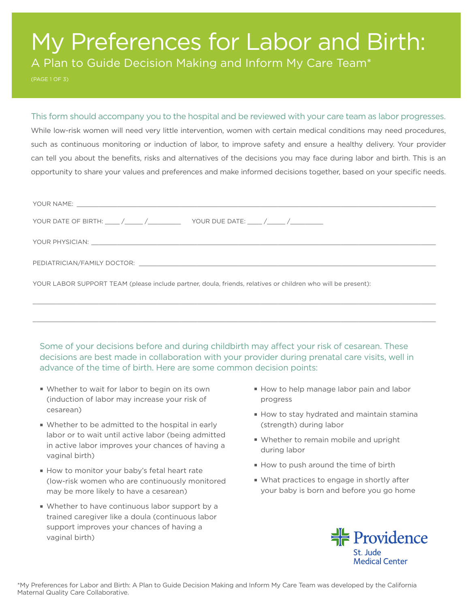# My Preferences for Labor and Birth:

A Plan to Guide Decision Making and Inform My Care Team\*

(PAGE 1 OF 3)

## This form should accompany you to the hospital and be reviewed with your care team as labor progresses.

While low-risk women will need very little intervention, women with certain medical conditions may need procedures, such as continuous monitoring or induction of labor, to improve safety and ensure a healthy delivery. Your provider can tell you about the benefits, risks and alternatives of the decisions you may face during labor and birth. This is an opportunity to share your values and preferences and make informed decisions together, based on your specific needs.

| YOUR PHYSICIAN: Leader and the contract of the contract of the contract of the contract of the contract of the contract of the contract of the contract of the contract of the contract of the contract of the contract of the |
|--------------------------------------------------------------------------------------------------------------------------------------------------------------------------------------------------------------------------------|
|                                                                                                                                                                                                                                |
| YOUR LABOR SUPPORT TEAM (please include partner, doula, friends, relatives or children who will be present):                                                                                                                   |
|                                                                                                                                                                                                                                |

 $\_$  , and the state of the state of the state of the state of the state of the state of the state of the state of the state of the state of the state of the state of the state of the state of the state of the state of the

Some of your decisions before and during childbirth may affect your risk of cesarean. These decisions are best made in collaboration with your provider during prenatal care visits, well in advance of the time of birth. Here are some common decision points:

- **Whether to wait for labor to begin on its own** (induction of labor may increase your risk of cesarean)
- **Whether to be admitted to the hospital in early** labor or to wait until active labor (being admitted in active labor improves your chances of having a vaginal birth)
- How to monitor your baby's fetal heart rate (low-risk women who are continuously monitored may be more likely to have a cesarean)
- Whether to have continuous labor support by a trained caregiver like a doula (continuous labor support improves your chances of having a vaginal birth)
- How to help manage labor pain and labor progress
- How to stay hydrated and maintain stamina (strength) during labor
- Whether to remain mobile and upright during labor
- How to push around the time of birth
- What practices to engage in shortly after your baby is born and before you go home

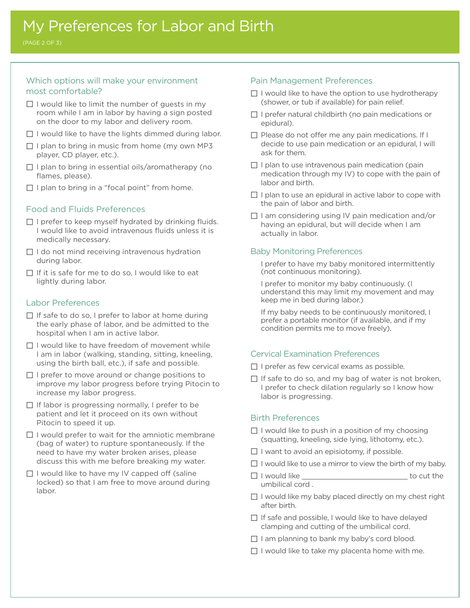(PAGE 2 OF 3)

## Which options will make your environment most comfortable?

- $\Box$  I would like to limit the number of guests in my room while I am in labor by having a sign posted on the door to my labor and delivery room.
- $\Box$  I would like to have the lights dimmed during labor.
- $\Box$  I plan to bring in music from home (my own MP3 player, CD player, etc.).
- $\Box$  I plan to bring in essential oils/aromatherapy (no flames, please).
- $\Box$  I plan to bring in a "focal point" from home.

## Food and Fluids Preferences

- $\Box$  I prefer to keep myself hydrated by drinking fluids. I would like to avoid intravenous fluids unless it is medically necessary.
- $\Box$  I do not mind receiving intravenous hydration during labor.
- $\Box$  If it is safe for me to do so, I would like to eat lightly during labor.

#### Labor Preferences

- $\Box$  If safe to do so, I prefer to labor at home during the early phase of labor, and be admitted to the hospital when I am in active labor.
- $\Pi$  I would like to have freedom of movement while I am in labor (walking, standing, sitting, kneeling, using the birth ball, etc.), if safe and possible.
- $\Box$  I prefer to move around or change positions to improve my labor progress before trying Pitocin to increase my labor progress.
- $\Box$  If labor is progressing normally, I prefer to be patient and let it proceed on its own without Pitocin to speed it up.
- $\Box$  I would prefer to wait for the amniotic membrane (bag of water) to rupture spontaneously. If the need to have my water broken arises, please discuss this with me before breaking my water.
- $\Box$  I would like to have my IV capped off (saline locked) so that I am free to move around during labor.

#### Pain Management Preferences

- $\Box$  I would like to have the option to use hydrotherapy (shower, or tub if available) for pain relief.
- $\Box$  I prefer natural childbirth (no pain medications or epidural).
- $\Box$  Please do not offer me any pain medications. If I decide to use pain medication or an epidural, I will ask for them.
- $\Box$  I plan to use intravenous pain medication (pain medication through my IV) to cope with the pain of labor and birth.
- $\Box$  I plan to use an epidural in active labor to cope with the pain of labor and birth.
- $\Box$  I am considering using IV pain medication and/or having an epidural, but will decide when I am actually in labor.

### Baby Monitoring Preferences

I prefer to have my baby monitored intermittently (not continuous monitoring).

I prefer to monitor my baby continuously. (I understand this may limit my movement and may keep me in bed during labor.)

If my baby needs to be continuously monitored, I prefer a portable monitor (if available, and if my condition permits me to move freely).

### Cervical Examination Preferences

- $\Box$  I prefer as few cervical exams as possible.
- $\Box$  If safe to do so, and my bag of water is not broken, I prefer to check dilation regularly so I know how labor is progressing.

### Birth Preferences

- $\Box$  I would like to push in a position of my choosing (squatting, kneeling, side lying, lithotomy, etc.).
- $\Box$  I want to avoid an episiotomy, if possible.
- $\Box$  I would like to use a mirror to view the birth of my baby.
- $\Box$  I would like  $\Box$ umbilical cord .
- $\Box$  I would like my baby placed directly on my chest right after birth.
- $\Box$  If safe and possible, I would like to have delayed clamping and cutting of the umbilical cord.
- $\Box$  I am planning to bank my baby's cord blood.
- $\Box$  I would like to take my placenta home with me.